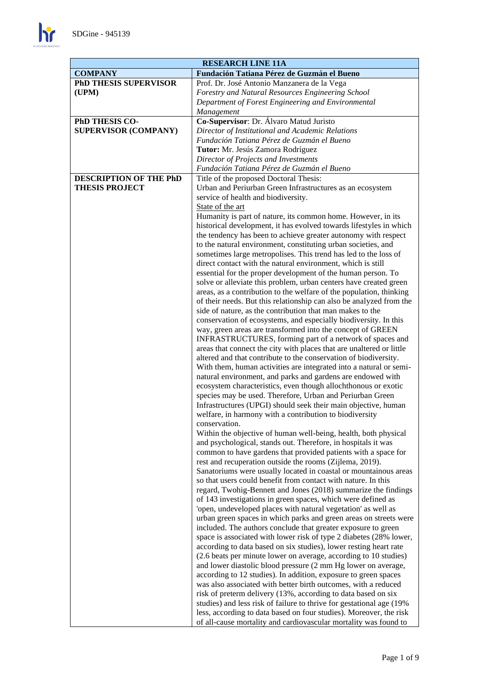

| <b>RESEARCH LINE 11A</b>                               |                                                                                                                                        |  |
|--------------------------------------------------------|----------------------------------------------------------------------------------------------------------------------------------------|--|
| <b>COMPANY</b>                                         | Fundación Tatiana Pérez de Guzmán el Bueno                                                                                             |  |
| <b>PhD THESIS SUPERVISOR</b>                           | Prof. Dr. José Antonio Manzanera de la Vega                                                                                            |  |
| (UPM)                                                  | Forestry and Natural Resources Engineering School                                                                                      |  |
|                                                        | Department of Forest Engineering and Environmental                                                                                     |  |
|                                                        | Management                                                                                                                             |  |
| PhD THESIS CO-                                         | Co-Supervisor: Dr. Álvaro Matud Juristo                                                                                                |  |
| <b>SUPERVISOR (COMPANY)</b>                            | Director of Institutional and Academic Relations                                                                                       |  |
|                                                        | Fundación Tatiana Pérez de Guzmán el Bueno                                                                                             |  |
|                                                        | Tutor: Mr. Jesús Zamora Rodríguez                                                                                                      |  |
|                                                        | Director of Projects and Investments                                                                                                   |  |
|                                                        | Fundación Tatiana Pérez de Guzmán el Bueno                                                                                             |  |
| <b>DESCRIPTION OF THE PhD</b><br><b>THESIS PROJECT</b> | Title of the proposed Doctoral Thesis:<br>Urban and Periurban Green Infrastructures as an ecosystem                                    |  |
|                                                        | service of health and biodiversity.                                                                                                    |  |
|                                                        | State of the art                                                                                                                       |  |
|                                                        | Humanity is part of nature, its common home. However, in its                                                                           |  |
|                                                        | historical development, it has evolved towards lifestyles in which                                                                     |  |
|                                                        | the tendency has been to achieve greater autonomy with respect                                                                         |  |
|                                                        | to the natural environment, constituting urban societies, and                                                                          |  |
|                                                        | sometimes large metropolises. This trend has led to the loss of                                                                        |  |
|                                                        | direct contact with the natural environment, which is still                                                                            |  |
|                                                        | essential for the proper development of the human person. To                                                                           |  |
|                                                        | solve or alleviate this problem, urban centers have created green                                                                      |  |
|                                                        | areas, as a contribution to the welfare of the population, thinking                                                                    |  |
|                                                        | of their needs. But this relationship can also be analyzed from the                                                                    |  |
|                                                        | side of nature, as the contribution that man makes to the                                                                              |  |
|                                                        | conservation of ecosystems, and especially biodiversity. In this                                                                       |  |
|                                                        | way, green areas are transformed into the concept of GREEN                                                                             |  |
|                                                        | INFRASTRUCTURES, forming part of a network of spaces and                                                                               |  |
|                                                        | areas that connect the city with places that are unaltered or little                                                                   |  |
|                                                        | altered and that contribute to the conservation of biodiversity.<br>With them, human activities are integrated into a natural or semi- |  |
|                                                        | natural environment, and parks and gardens are endowed with                                                                            |  |
|                                                        | ecosystem characteristics, even though allochthonous or exotic                                                                         |  |
|                                                        | species may be used. Therefore, Urban and Periurban Green                                                                              |  |
|                                                        | Infrastructures (UPGI) should seek their main objective, human                                                                         |  |
|                                                        | welfare, in harmony with a contribution to biodiversity                                                                                |  |
|                                                        | conservation                                                                                                                           |  |
|                                                        | Within the objective of human well-being, health, both physical                                                                        |  |
|                                                        | and psychological, stands out. Therefore, in hospitals it was                                                                          |  |
|                                                        | common to have gardens that provided patients with a space for                                                                         |  |
|                                                        | rest and recuperation outside the rooms (Zijlema, 2019).                                                                               |  |
|                                                        | Sanatoriums were usually located in coastal or mountainous areas                                                                       |  |
|                                                        | so that users could benefit from contact with nature. In this                                                                          |  |
|                                                        | regard, Twohig-Bennett and Jones (2018) summarize the findings                                                                         |  |
|                                                        | of 143 investigations in green spaces, which were defined as                                                                           |  |
|                                                        | 'open, undeveloped places with natural vegetation' as well as<br>urban green spaces in which parks and green areas on streets were     |  |
|                                                        | included. The authors conclude that greater exposure to green                                                                          |  |
|                                                        | space is associated with lower risk of type 2 diabetes (28% lower,                                                                     |  |
|                                                        | according to data based on six studies), lower resting heart rate                                                                      |  |
|                                                        | (2.6 beats per minute lower on average, according to 10 studies)                                                                       |  |
|                                                        | and lower diastolic blood pressure (2 mm Hg lower on average,                                                                          |  |
|                                                        | according to 12 studies). In addition, exposure to green spaces                                                                        |  |
|                                                        | was also associated with better birth outcomes, with a reduced                                                                         |  |
|                                                        | risk of preterm delivery (13%, according to data based on six                                                                          |  |
|                                                        | studies) and less risk of failure to thrive for gestational age (19%                                                                   |  |
|                                                        | less, according to data based on four studies). Moreover, the risk                                                                     |  |
|                                                        | of all-cause mortality and cardiovascular mortality was found to                                                                       |  |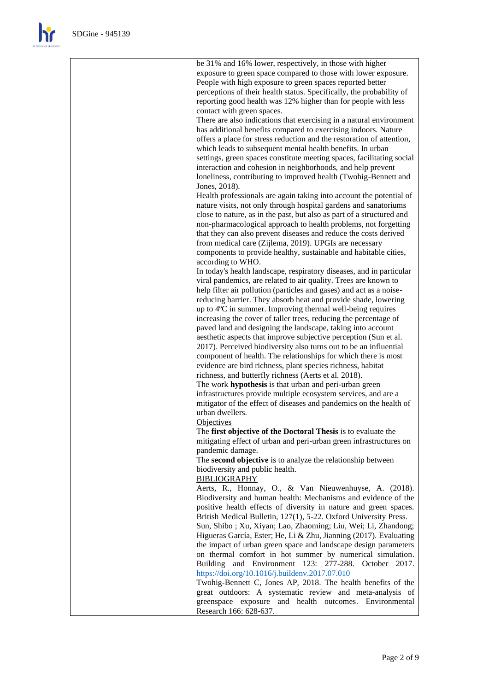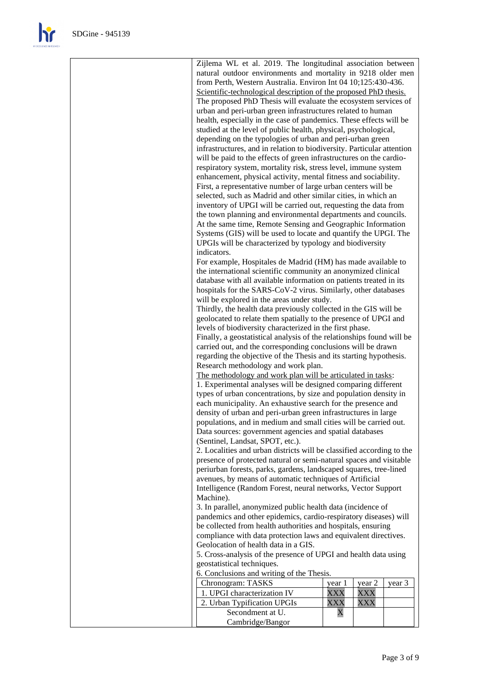Zijlema WL et al. 2019. The longitudinal association between natural outdoor environments and mortality in 9218 older men from Perth, Western Australia. Environ Int 04 10;125:430-436. Scientific-technological description of the proposed PhD thesis. The proposed PhD Thesis will evaluate the ecosystem services of urban and peri-urban green infrastructures related to human health, especially in the case of pandemics. These effects will be studied at the level of public health, physical, psychological, depending on the typologies of urban and peri-urban green infrastructures, and in relation to biodiversity. Particular attention will be paid to the effects of green infrastructures on the cardiorespiratory system, mortality risk, stress level, immune system enhancement, physical activity, mental fitness and sociability. First, a representative number of large urban centers will be selected, such as Madrid and other similar cities, in which an inventory of UPGI will be carried out, requesting the data from the town planning and environmental departments and councils. At the same time, Remote Sensing and Geographic Information Systems (GIS) will be used to locate and quantify the UPGI. The UPGIs will be characterized by typology and biodiversity indicators. For example, Hospitales de Madrid (HM) has made available to the international scientific community an anonymized clinical database with all available information on patients treated in its hospitals for the SARS-CoV-2 virus. Similarly, other databases will be explored in the areas under study. Thirdly, the health data previously collected in the GIS will be geolocated to relate them spatially to the presence of UPGI and levels of biodiversity characterized in the first phase. Finally, a geostatistical analysis of the relationships found will be carried out, and the corresponding conclusions will be drawn regarding the objective of the Thesis and its starting hypothesis. Research methodology and work plan. The methodology and work plan will be articulated in tasks: 1. Experimental analyses will be designed comparing different types of urban concentrations, by size and population density in each municipality. An exhaustive search for the presence and density of urban and peri-urban green infrastructures in large populations, and in medium and small cities will be carried out. Data sources: government agencies and spatial databases (Sentinel, Landsat, SPOT, etc.). 2. Localities and urban districts will be classified according to the presence of protected natural or semi-natural spaces and visitable periurban forests, parks, gardens, landscaped squares, tree-lined avenues, by means of automatic techniques of Artificial Intelligence (Random Forest, neural networks, Vector Support Machine). 3. In parallel, anonymized public health data (incidence of pandemics and other epidemics, cardio-respiratory diseases) will be collected from health authorities and hospitals, ensuring compliance with data protection laws and equivalent directives. Geolocation of health data in a GIS. 5. Cross-analysis of the presence of UPGI and health data using geostatistical techniques. 6. Conclusions and writing of the Thesis.

| $\sigma$ . Concrusions and writing or the Filesis. |      |        |        |
|----------------------------------------------------|------|--------|--------|
| Chronogram: TASKS                                  | vear | vear 2 | vear 3 |
| 1. UPGI characterization IV                        |      |        |        |
| 2. Urban Typification UPGIs                        |      |        |        |
| Secondment at U.                                   |      |        |        |
| Cambridge/Bangor                                   |      |        |        |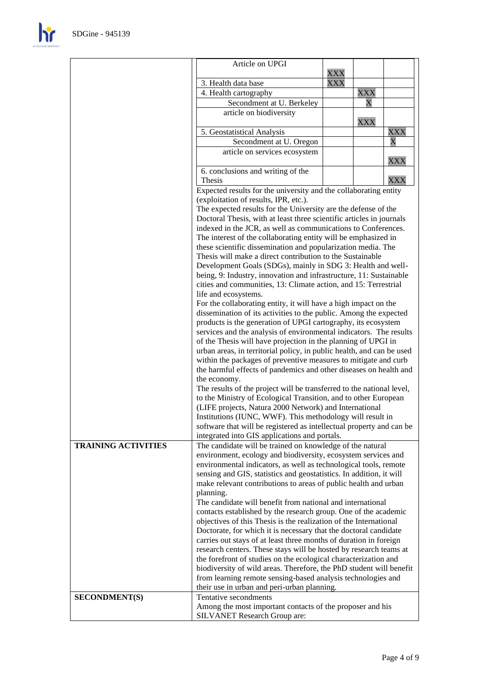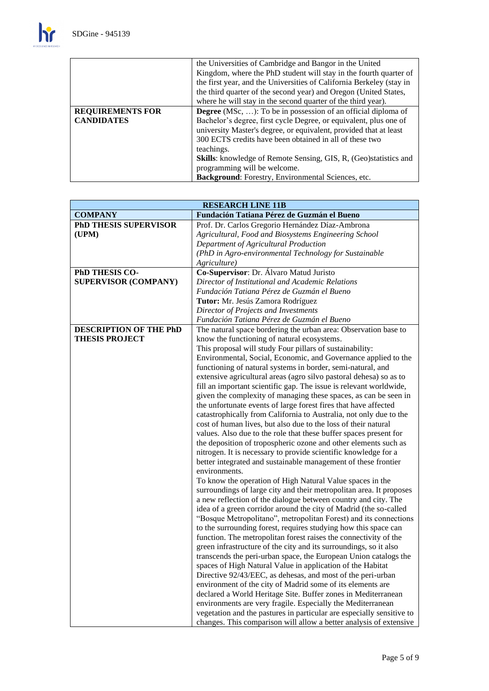$\mathbf{h}$ 

|                         | the Universities of Cambridge and Bangor in the United                   |
|-------------------------|--------------------------------------------------------------------------|
|                         | Kingdom, where the PhD student will stay in the fourth quarter of        |
|                         | the first year, and the Universities of California Berkeley (stay in     |
|                         | the third quarter of the second year) and Oregon (United States,         |
|                         | where he will stay in the second quarter of the third year).             |
| <b>REQUIREMENTS FOR</b> | <b>Degree</b> (MSc, ): To be in possession of an official diploma of     |
| <b>CANDIDATES</b>       | Bachelor's degree, first cycle Degree, or equivalent, plus one of        |
|                         | university Master's degree, or equivalent, provided that at least        |
|                         | 300 ECTS credits have been obtained in all of these two                  |
|                         | teachings.                                                               |
|                         | <b>Skills:</b> knowledge of Remote Sensing, GIS, R, (Geo) statistics and |
|                         | programming will be welcome.                                             |
|                         | Background: Forestry, Environmental Sciences, etc.                       |

| <b>RESEARCH LINE 11B</b>      |                                                                                                                                |
|-------------------------------|--------------------------------------------------------------------------------------------------------------------------------|
| <b>COMPANY</b>                | Fundación Tatiana Pérez de Guzmán el Bueno                                                                                     |
| <b>PhD THESIS SUPERVISOR</b>  | Prof. Dr. Carlos Gregorio Hernández Díaz-Ambrona                                                                               |
| (UPM)                         | Agricultural, Food and Biosystems Engineering School                                                                           |
|                               | Department of Agricultural Production                                                                                          |
|                               | (PhD in Agro-environmental Technology for Sustainable                                                                          |
|                               | Agriculture)                                                                                                                   |
| PhD THESIS CO-                | Co-Supervisor: Dr. Álvaro Matud Juristo                                                                                        |
| <b>SUPERVISOR (COMPANY)</b>   | Director of Institutional and Academic Relations                                                                               |
|                               | Fundación Tatiana Pérez de Guzmán el Bueno                                                                                     |
|                               | Tutor: Mr. Jesús Zamora Rodríguez                                                                                              |
|                               | Director of Projects and Investments                                                                                           |
|                               | Fundación Tatiana Pérez de Guzmán el Bueno                                                                                     |
| <b>DESCRIPTION OF THE PhD</b> | The natural space bordering the urban area: Observation base to                                                                |
| <b>THESIS PROJECT</b>         | know the functioning of natural ecosystems.                                                                                    |
|                               | This proposal will study Four pillars of sustainability:                                                                       |
|                               | Environmental, Social, Economic, and Governance applied to the                                                                 |
|                               | functioning of natural systems in border, semi-natural, and                                                                    |
|                               | extensive agricultural areas (agro silvo pastoral dehesa) so as to                                                             |
|                               | fill an important scientific gap. The issue is relevant worldwide,                                                             |
|                               | given the complexity of managing these spaces, as can be seen in                                                               |
|                               | the unfortunate events of large forest fires that have affected                                                                |
|                               | catastrophically from California to Australia, not only due to the                                                             |
|                               | cost of human lives, but also due to the loss of their natural                                                                 |
|                               | values. Also due to the role that these buffer spaces present for                                                              |
|                               | the deposition of tropospheric ozone and other elements such as                                                                |
|                               | nitrogen. It is necessary to provide scientific knowledge for a                                                                |
|                               | better integrated and sustainable management of these frontier                                                                 |
|                               | environments.                                                                                                                  |
|                               | To know the operation of High Natural Value spaces in the                                                                      |
|                               | surroundings of large city and their metropolitan area. It proposes                                                            |
|                               | a new reflection of the dialogue between country and city. The                                                                 |
|                               | idea of a green corridor around the city of Madrid (the so-called                                                              |
|                               | "Bosque Metropolitano", metropolitan Forest) and its connections                                                               |
|                               | to the surrounding forest, requires studying how this space can                                                                |
|                               | function. The metropolitan forest raises the connectivity of the                                                               |
|                               | green infrastructure of the city and its surroundings, so it also                                                              |
|                               | transcends the peri-urban space, the European Union catalogs the<br>spaces of High Natural Value in application of the Habitat |
|                               | Directive 92/43/EEC, as dehesas, and most of the peri-urban                                                                    |
|                               | environment of the city of Madrid some of its elements are                                                                     |
|                               | declared a World Heritage Site. Buffer zones in Mediterranean                                                                  |
|                               | environments are very fragile. Especially the Mediterranean                                                                    |
|                               | vegetation and the pastures in particular are especially sensitive to                                                          |
|                               | changes. This comparison will allow a better analysis of extensive                                                             |
|                               |                                                                                                                                |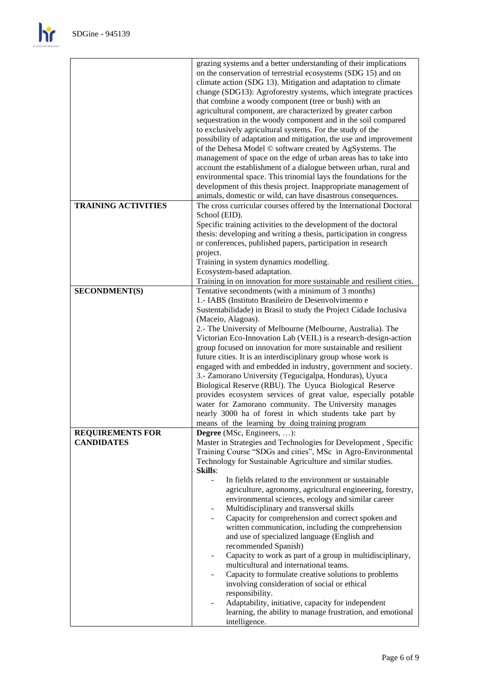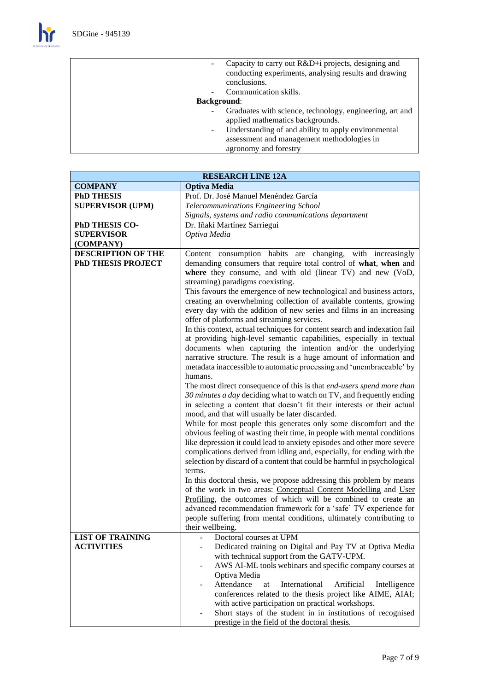$\mathbf{h}$ 

| Capacity to carry out R&D+i projects, designing and<br>conducting experiments, analysing results and drawing<br>conclusions. |
|------------------------------------------------------------------------------------------------------------------------------|
| Communication skills.                                                                                                        |
| <b>Background:</b>                                                                                                           |
| Graduates with science, technology, engineering, art and<br>applied mathematics backgrounds.                                 |
| Understanding of and ability to apply environmental<br>۰.                                                                    |
| assessment and management methodologies in                                                                                   |
| agronomy and forestry                                                                                                        |

| <b>RESEARCH LINE 12A</b>  |                                                                                    |  |
|---------------------------|------------------------------------------------------------------------------------|--|
| <b>COMPANY</b>            | <b>Optiva Media</b>                                                                |  |
| <b>PhD THESIS</b>         | Prof. Dr. José Manuel Menéndez García                                              |  |
| <b>SUPERVISOR (UPM)</b>   | Telecommunications Engineering School                                              |  |
|                           | Signals, systems and radio communications department                               |  |
| PhD THESIS CO-            | Dr. Iñaki Martínez Sarriegui                                                       |  |
| <b>SUPERVISOR</b>         | Optiva Media                                                                       |  |
| (COMPANY)                 |                                                                                    |  |
| <b>DESCRIPTION OF THE</b> | Content consumption habits are changing, with increasingly                         |  |
| <b>PhD THESIS PROJECT</b> | demanding consumers that require total control of what, when and                   |  |
|                           | where they consume, and with old (linear TV) and new (VoD,                         |  |
|                           | streaming) paradigms coexisting.                                                   |  |
|                           | This favours the emergence of new technological and business actors,               |  |
|                           | creating an overwhelming collection of available contents, growing                 |  |
|                           | every day with the addition of new series and films in an increasing               |  |
|                           | offer of platforms and streaming services.                                         |  |
|                           | In this context, actual techniques for content search and indexation fail          |  |
|                           | at providing high-level semantic capabilities, especially in textual               |  |
|                           | documents when capturing the intention and/or the underlying                       |  |
|                           | narrative structure. The result is a huge amount of information and                |  |
|                           | metadata inaccessible to automatic processing and 'unembraceable' by               |  |
|                           | humans.                                                                            |  |
|                           | The most direct consequence of this is that end-users spend more than              |  |
|                           | 30 minutes a day deciding what to watch on TV, and frequently ending               |  |
|                           | in selecting a content that doesn't fit their interests or their actual            |  |
|                           | mood, and that will usually be later discarded.                                    |  |
|                           | While for most people this generates only some discomfort and the                  |  |
|                           | obvious feeling of wasting their time, in people with mental conditions            |  |
|                           | like depression it could lead to anxiety episodes and other more severe            |  |
|                           | complications derived from idling and, especially, for ending with the             |  |
|                           | selection by discard of a content that could be harmful in psychological<br>terms. |  |
|                           | In this doctoral thesis, we propose addressing this problem by means               |  |
|                           | of the work in two areas: Conceptual Content Modelling and User                    |  |
|                           | Profiling, the outcomes of which will be combined to create an                     |  |
|                           | advanced recommendation framework for a 'safe' TV experience for                   |  |
|                           | people suffering from mental conditions, ultimately contributing to                |  |
|                           | their wellbeing.                                                                   |  |
| <b>LIST OF TRAINING</b>   | Doctoral courses at UPM                                                            |  |
| <b>ACTIVITIES</b>         | Dedicated training on Digital and Pay TV at Optiva Media<br>÷,                     |  |
|                           | with technical support from the GATV-UPM.                                          |  |
|                           | AWS AI-ML tools webinars and specific company courses at                           |  |
|                           | Optiva Media                                                                       |  |
|                           | Attendance<br>International<br>Artificial<br>at<br>Intelligence                    |  |
|                           | conferences related to the thesis project like AIME, AIAI;                         |  |
|                           | with active participation on practical workshops.                                  |  |
|                           | Short stays of the student in in institutions of recognised                        |  |
|                           | prestige in the field of the doctoral thesis.                                      |  |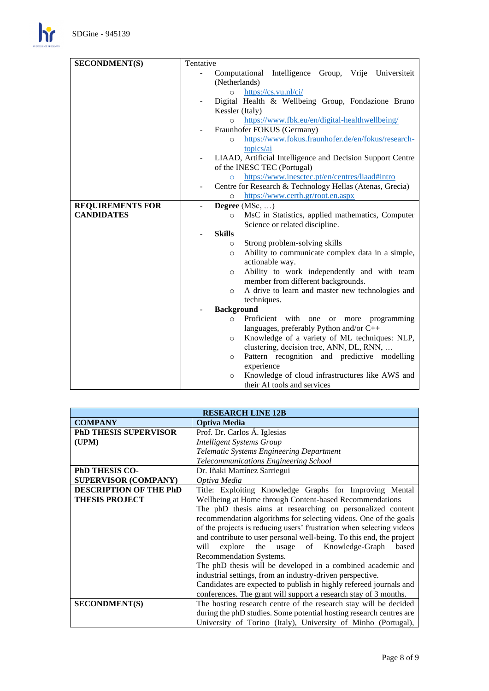$\mathbf{h}$ 

| <b>SECONDMENT(S)</b>    | Tentative                                                                      |  |
|-------------------------|--------------------------------------------------------------------------------|--|
|                         | Computational Intelligence Group, Vrije Universiteit                           |  |
|                         | (Netherlands)                                                                  |  |
|                         | https://cs.vu.nl/ci/<br>$\Omega$                                               |  |
|                         | Digital Health & Wellbeing Group, Fondazione Bruno                             |  |
|                         | Kessler (Italy)                                                                |  |
|                         | https://www.fbk.eu/en/digital-healthwellbeing/<br>$\circ$                      |  |
|                         | Fraunhofer FOKUS (Germany)                                                     |  |
|                         | https://www.fokus.fraunhofer.de/en/fokus/research-<br>$\circ$                  |  |
|                         | topics/ai                                                                      |  |
|                         | LIAAD, Artificial Intelligence and Decision Support Centre                     |  |
|                         | of the INESC TEC (Portugal)                                                    |  |
|                         | https://www.inesctec.pt/en/centres/liaad#intro<br>$\circ$                      |  |
|                         | Centre for Research & Technology Hellas (Atenas, Grecia)<br>$\blacksquare$     |  |
|                         | https://www.certh.gr/root.en.aspx<br>$\circ$                                   |  |
| <b>REQUIREMENTS FOR</b> | Degree $(MSc, \ldots)$                                                         |  |
| <b>CANDIDATES</b>       | MsC in Statistics, applied mathematics, Computer<br>$\circ$                    |  |
|                         | Science or related discipline.                                                 |  |
|                         | <b>Skills</b>                                                                  |  |
|                         | Strong problem-solving skills<br>$\circ$                                       |  |
|                         | Ability to communicate complex data in a simple,<br>$\circ$<br>actionable way. |  |
|                         | Ability to work independently and with team<br>$\circ$                         |  |
|                         | member from different backgrounds.                                             |  |
|                         | A drive to learn and master new technologies and<br>$\circ$                    |  |
|                         | techniques.                                                                    |  |
|                         | <b>Background</b>                                                              |  |
|                         | Proficient with one or more programming<br>$\circ$                             |  |
|                         | languages, preferably Python and/or C++                                        |  |
|                         | Knowledge of a variety of ML techniques: NLP,<br>$\circ$                       |  |
|                         | clustering, decision tree, ANN, DL, RNN,                                       |  |
|                         | Pattern recognition and predictive modelling<br>$\circ$                        |  |
|                         | experience                                                                     |  |
|                         | Knowledge of cloud infrastructures like AWS and<br>$\circ$                     |  |
|                         | their AI tools and services                                                    |  |

| <b>RESEARCH LINE 12B</b>      |                                                                      |  |
|-------------------------------|----------------------------------------------------------------------|--|
| <b>COMPANY</b>                | <b>Optiva Media</b>                                                  |  |
| PhD THESIS SUPERVISOR         | Prof. Dr. Carlos Á. Iglesias                                         |  |
| (UPM)                         | <b>Intelligent Systems Group</b>                                     |  |
|                               | Telematic Systems Engineering Department                             |  |
|                               | Telecommunications Engineering School                                |  |
| <b>PhD THESIS CO-</b>         | Dr. Iñaki Martínez Sarriegui                                         |  |
| <b>SUPERVISOR (COMPANY)</b>   | Optiva Media                                                         |  |
| <b>DESCRIPTION OF THE PhD</b> | Title: Exploiting Knowledge Graphs for Improving Mental              |  |
| <b>THESIS PROJECT</b>         | Wellbeing at Home through Content-based Recommendations              |  |
|                               | The phD thesis aims at researching on personalized content           |  |
|                               | recommendation algorithms for selecting videos. One of the goals     |  |
|                               | of the projects is reducing users' frustration when selecting videos |  |
|                               | and contribute to user personal well-being. To this end, the project |  |
|                               | explore the usage of Knowledge-Graph<br>based<br>will                |  |
|                               | Recommendation Systems.                                              |  |
|                               | The phD thesis will be developed in a combined academic and          |  |
|                               | industrial settings, from an industry-driven perspective.            |  |
|                               | Candidates are expected to publish in highly refereed journals and   |  |
|                               | conferences. The grant will support a research stay of 3 months.     |  |
| <b>SECONDMENT(S)</b>          | The hosting research centre of the research stay will be decided     |  |
|                               | during the phD studies. Some potential hosting research centres are  |  |
|                               | University of Torino (Italy), University of Minho (Portugal),        |  |